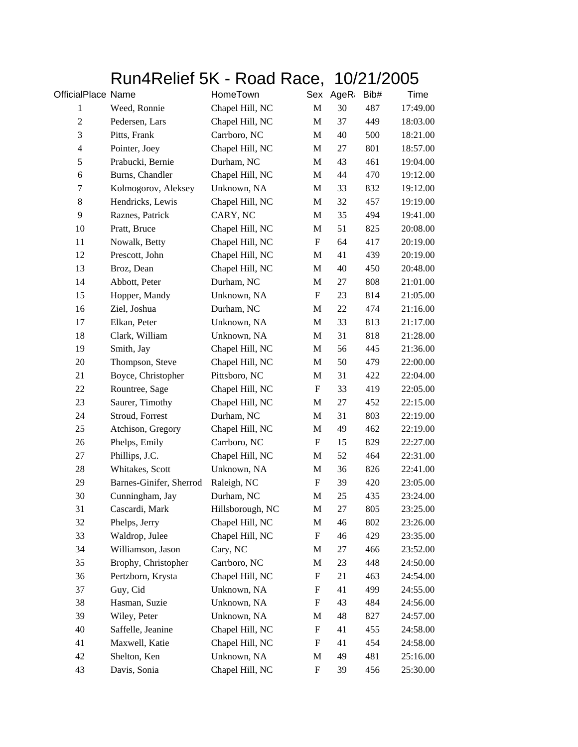## Run4Relief 5K - Road Race, 10/21/2005

| OfficialPlace Name |                         | HomeTown         |                           | Sex AgeR: | Bib# | Time     |
|--------------------|-------------------------|------------------|---------------------------|-----------|------|----------|
| $\mathbf{1}$       | Weed, Ronnie            | Chapel Hill, NC  | $\mathbf M$               | 30        | 487  | 17:49.00 |
| $\overline{c}$     | Pedersen, Lars          | Chapel Hill, NC  | M                         | 37        | 449  | 18:03.00 |
| $\mathfrak{Z}$     | Pitts, Frank            | Carrboro, NC     | M                         | 40        | 500  | 18:21.00 |
| $\overline{4}$     | Pointer, Joey           | Chapel Hill, NC  | M                         | 27        | 801  | 18:57.00 |
| 5                  | Prabucki, Bernie        | Durham, NC       | M                         | 43        | 461  | 19:04.00 |
| $\sqrt{6}$         | Burns, Chandler         | Chapel Hill, NC  | M                         | 44        | 470  | 19:12.00 |
| $\tau$             | Kolmogorov, Aleksey     | Unknown, NA      | M                         | 33        | 832  | 19:12.00 |
| $\,8\,$            | Hendricks, Lewis        | Chapel Hill, NC  | M                         | 32        | 457  | 19:19.00 |
| 9                  | Raznes, Patrick         | CARY, NC         | M                         | 35        | 494  | 19:41.00 |
| 10                 | Pratt, Bruce            | Chapel Hill, NC  | M                         | 51        | 825  | 20:08.00 |
| 11                 | Nowalk, Betty           | Chapel Hill, NC  | F                         | 64        | 417  | 20:19.00 |
| 12                 | Prescott, John          | Chapel Hill, NC  | M                         | 41        | 439  | 20:19.00 |
| 13                 | Broz, Dean              | Chapel Hill, NC  | M                         | 40        | 450  | 20:48.00 |
| 14                 | Abbott, Peter           | Durham, NC       | M                         | 27        | 808  | 21:01.00 |
| 15                 | Hopper, Mandy           | Unknown, NA      | F                         | 23        | 814  | 21:05.00 |
| 16                 | Ziel, Joshua            | Durham, NC       | M                         | 22        | 474  | 21:16.00 |
| 17                 | Elkan, Peter            | Unknown, NA      | M                         | 33        | 813  | 21:17.00 |
| 18                 | Clark, William          | Unknown, NA      | M                         | 31        | 818  | 21:28.00 |
| 19                 | Smith, Jay              | Chapel Hill, NC  | M                         | 56        | 445  | 21:36.00 |
| 20                 | Thompson, Steve         | Chapel Hill, NC  | M                         | 50        | 479  | 22:00.00 |
| 21                 | Boyce, Christopher      | Pittsboro, NC    | $\mathbf M$               | 31        | 422  | 22:04.00 |
| 22                 | Rountree, Sage          | Chapel Hill, NC  | F                         | 33        | 419  | 22:05.00 |
| 23                 | Saurer, Timothy         | Chapel Hill, NC  | M                         | 27        | 452  | 22:15.00 |
| 24                 | Stroud, Forrest         | Durham, NC       | M                         | 31        | 803  | 22:19.00 |
| 25                 | Atchison, Gregory       | Chapel Hill, NC  | M                         | 49        | 462  | 22:19.00 |
| 26                 | Phelps, Emily           | Carrboro, NC     | F                         | 15        | 829  | 22:27.00 |
| 27                 | Phillips, J.C.          | Chapel Hill, NC  | M                         | 52        | 464  | 22:31.00 |
| 28                 | Whitakes, Scott         | Unknown, NA      | M                         | 36        | 826  | 22:41.00 |
| 29                 | Barnes-Ginifer, Sherrod | Raleigh, NC      | F                         | 39        | 420  | 23:05.00 |
| 30                 | Cunningham, Jay         | Durham, NC       | M                         | 25        | 435  | 23:24.00 |
| 31                 | Cascardi, Mark          | Hillsborough, NC | M                         | 27        | 805  | 23:25.00 |
| 32                 | Phelps, Jerry           | Chapel Hill, NC  | M                         | 46        | 802  | 23:26.00 |
| 33                 | Waldrop, Julee          | Chapel Hill, NC  | $\boldsymbol{\mathrm{F}}$ | 46        | 429  | 23:35.00 |
| 34                 | Williamson, Jason       | Cary, NC         | M                         | 27        | 466  | 23:52.00 |
| 35                 | Brophy, Christopher     | Carrboro, NC     | M                         | 23        | 448  | 24:50.00 |
| 36                 | Pertzborn, Krysta       | Chapel Hill, NC  | ${\rm F}$                 | 21        | 463  | 24:54.00 |
| 37                 | Guy, Cid                | Unknown, NA      | F                         | 41        | 499  | 24:55.00 |
| 38                 | Hasman, Suzie           | Unknown, NA      | ${\rm F}$                 | 43        | 484  | 24:56.00 |
| 39                 | Wiley, Peter            | Unknown, NA      | M                         | 48        | 827  | 24:57.00 |
| 40                 | Saffelle, Jeanine       | Chapel Hill, NC  | $\boldsymbol{\mathrm{F}}$ | 41        | 455  | 24:58.00 |
| 41                 | Maxwell, Katie          | Chapel Hill, NC  | $\boldsymbol{\mathrm{F}}$ | 41        | 454  | 24:58.00 |
| 42                 | Shelton, Ken            | Unknown, NA      | M                         | 49        | 481  | 25:16.00 |
| 43                 | Davis, Sonia            | Chapel Hill, NC  | $\mathbf F$               | 39        | 456  | 25:30.00 |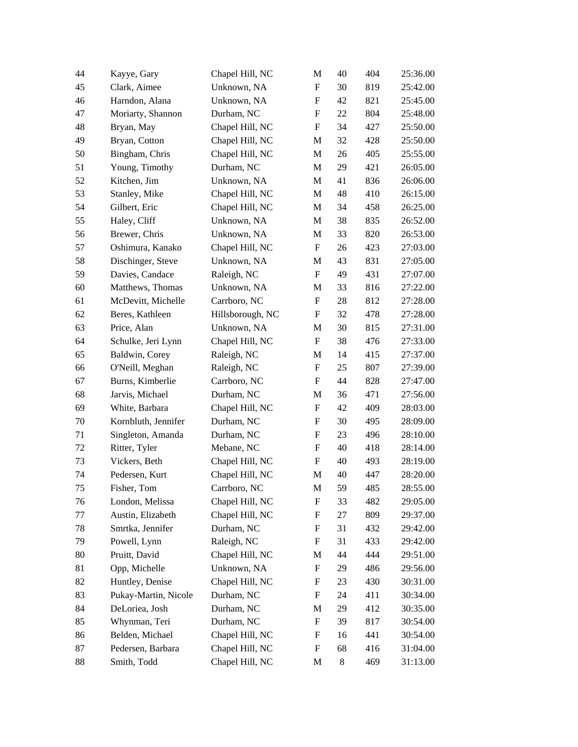| 44 | Kayye, Gary          | Chapel Hill, NC  | M                         | 40    | 404 | 25:36.00 |
|----|----------------------|------------------|---------------------------|-------|-----|----------|
| 45 | Clark, Aimee         | Unknown, NA      | F                         | 30    | 819 | 25:42.00 |
| 46 | Harndon, Alana       | Unknown, NA      | F                         | 42    | 821 | 25:45.00 |
| 47 | Moriarty, Shannon    | Durham, NC       | F                         | 22    | 804 | 25:48.00 |
| 48 | Bryan, May           | Chapel Hill, NC  | ${\bf F}$                 | 34    | 427 | 25:50.00 |
| 49 | Bryan, Cotton        | Chapel Hill, NC  | M                         | 32    | 428 | 25:50.00 |
| 50 | Bingham, Chris       | Chapel Hill, NC  | M                         | 26    | 405 | 25:55.00 |
| 51 | Young, Timothy       | Durham, NC       | M                         | 29    | 421 | 26:05.00 |
| 52 | Kitchen, Jim         | Unknown, NA      | M                         | 41    | 836 | 26:06.00 |
| 53 | Stanley, Mike        | Chapel Hill, NC  | M                         | 48    | 410 | 26:15.00 |
| 54 | Gilbert, Eric        | Chapel Hill, NC  | M                         | 34    | 458 | 26:25.00 |
| 55 | Haley, Cliff         | Unknown, NA      | M                         | 38    | 835 | 26:52.00 |
| 56 | Brewer, Chris        | Unknown, NA      | M                         | 33    | 820 | 26:53.00 |
| 57 | Oshimura, Kanako     | Chapel Hill, NC  | $\boldsymbol{\mathrm{F}}$ | 26    | 423 | 27:03.00 |
| 58 | Dischinger, Steve    | Unknown, NA      | M                         | 43    | 831 | 27:05.00 |
| 59 | Davies, Candace      | Raleigh, NC      | F                         | 49    | 431 | 27:07.00 |
| 60 | Matthews, Thomas     | Unknown, NA      | M                         | 33    | 816 | 27:22.00 |
| 61 | McDevitt, Michelle   | Carrboro, NC     | $\boldsymbol{\mathrm{F}}$ | 28    | 812 | 27:28.00 |
| 62 | Beres, Kathleen      | Hillsborough, NC | F                         | 32    | 478 | 27:28.00 |
| 63 | Price, Alan          | Unknown, NA      | M                         | 30    | 815 | 27:31.00 |
| 64 | Schulke, Jeri Lynn   | Chapel Hill, NC  | $\boldsymbol{\mathrm{F}}$ | 38    | 476 | 27:33.00 |
| 65 | Baldwin, Corey       | Raleigh, NC      | M                         | 14    | 415 | 27:37.00 |
| 66 | O'Neill, Meghan      | Raleigh, NC      | $\boldsymbol{\mathrm{F}}$ | 25    | 807 | 27:39.00 |
| 67 | Burns, Kimberlie     | Carrboro, NC     | F                         | 44    | 828 | 27:47.00 |
| 68 | Jarvis, Michael      | Durham, NC       | M                         | 36    | 471 | 27:56.00 |
| 69 | White, Barbara       | Chapel Hill, NC  | $\boldsymbol{\mathrm{F}}$ | 42    | 409 | 28:03.00 |
| 70 | Kornbluth, Jennifer  | Durham, NC       | ${\rm F}$                 | 30    | 495 | 28:09.00 |
| 71 | Singleton, Amanda    | Durham, NC       | $\boldsymbol{\mathrm{F}}$ | 23    | 496 | 28:10.00 |
| 72 | Ritter, Tyler        | Mebane, NC       | F                         | 40    | 418 | 28:14.00 |
| 73 | Vickers, Beth        | Chapel Hill, NC  | F                         | 40    | 493 | 28:19.00 |
| 74 | Pedersen, Kurt       | Chapel Hill, NC  | M                         | 40    | 447 | 28:20.00 |
| 75 | Fisher, Tom          | Carrboro, NC     | M                         | 59    | 485 | 28:55.00 |
| 76 | London, Melissa      | Chapel Hill, NC  | F                         | 33    | 482 | 29:05.00 |
| 77 | Austin, Elizabeth    | Chapel Hill, NC  | F                         | 27    | 809 | 29:37.00 |
| 78 | Smrtka, Jennifer     | Durham, NC       | F                         | 31    | 432 | 29:42.00 |
| 79 | Powell, Lynn         | Raleigh, NC      | F                         | 31    | 433 | 29:42.00 |
| 80 | Pruitt, David        | Chapel Hill, NC  | M                         | 44    | 444 | 29:51.00 |
| 81 | Opp, Michelle        | Unknown, NA      | ${\rm F}$                 | 29    | 486 | 29:56.00 |
| 82 | Huntley, Denise      | Chapel Hill, NC  | F                         | 23    | 430 | 30:31.00 |
| 83 | Pukay-Martin, Nicole | Durham, NC       | $\boldsymbol{\mathrm{F}}$ | 24    | 411 | 30:34.00 |
| 84 | DeLoriea, Josh       | Durham, NC       | M                         | 29    | 412 | 30:35.00 |
| 85 | Whynman, Teri        | Durham, NC       | $\boldsymbol{\mathrm{F}}$ | 39    | 817 | 30:54.00 |
| 86 | Belden, Michael      | Chapel Hill, NC  | ${\rm F}$                 | 16    | 441 | 30:54.00 |
| 87 | Pedersen, Barbara    | Chapel Hill, NC  | $\boldsymbol{\mathrm{F}}$ | 68    | 416 | 31:04.00 |
| 88 | Smith, Todd          | Chapel Hill, NC  | M                         | $8\,$ | 469 | 31:13.00 |